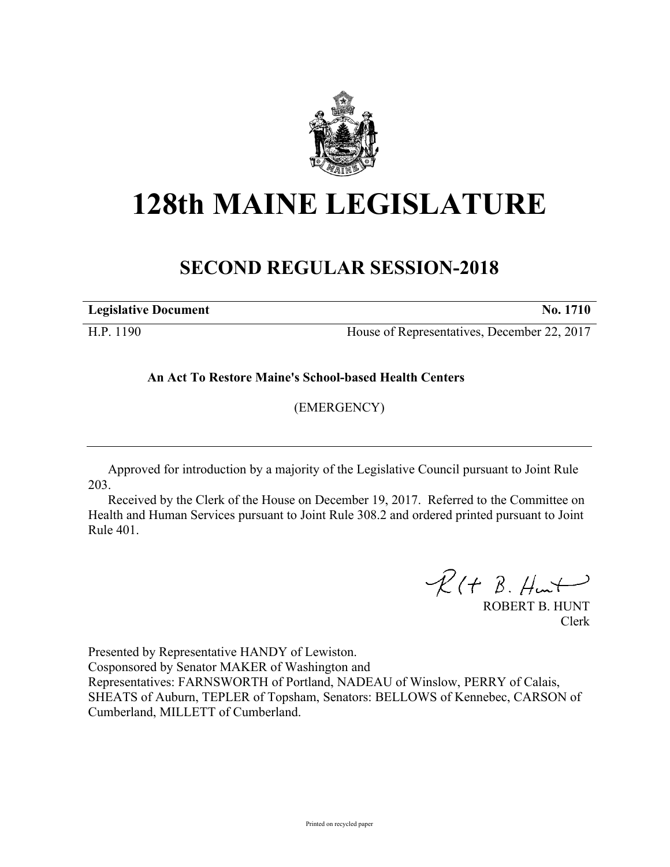

## **128th MAINE LEGISLATURE**

## **SECOND REGULAR SESSION-2018**

**Legislative Document No. 1710**

H.P. 1190 House of Representatives, December 22, 2017

**An Act To Restore Maine's School-based Health Centers**

(EMERGENCY)

Approved for introduction by a majority of the Legislative Council pursuant to Joint Rule 203.

Received by the Clerk of the House on December 19, 2017. Referred to the Committee on Health and Human Services pursuant to Joint Rule 308.2 and ordered printed pursuant to Joint Rule 401.

 $R(H B. H<sub>un</sub>)$ 

ROBERT B. HUNT Clerk

Presented by Representative HANDY of Lewiston.

Cosponsored by Senator MAKER of Washington and

Representatives: FARNSWORTH of Portland, NADEAU of Winslow, PERRY of Calais, SHEATS of Auburn, TEPLER of Topsham, Senators: BELLOWS of Kennebec, CARSON of Cumberland, MILLETT of Cumberland.